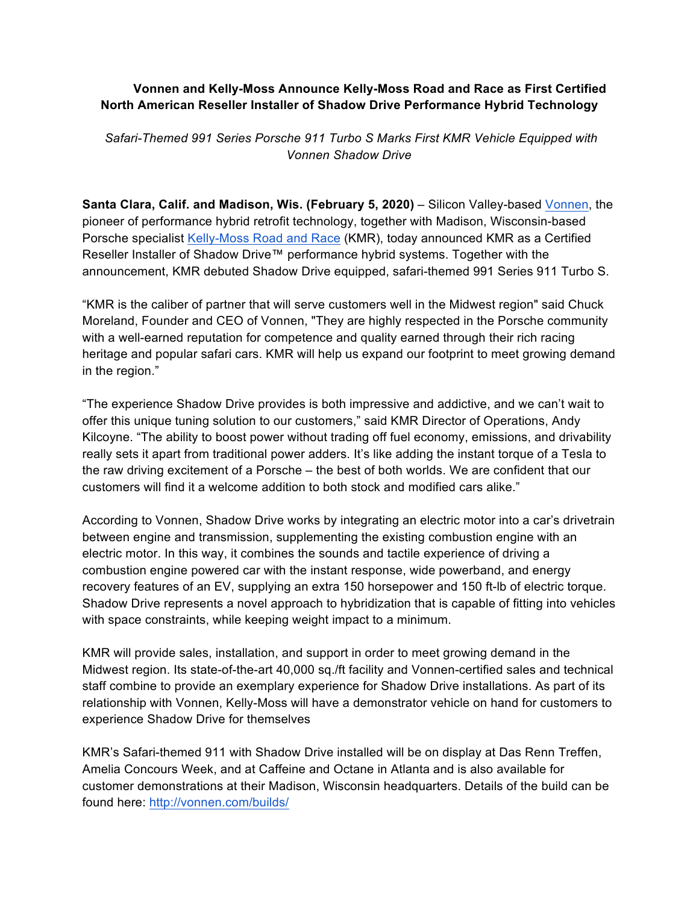## **Vonnen and Kelly-Moss Announce Kelly-Moss Road and Race as First Certified North American Reseller Installer of Shadow Drive Performance Hybrid Technology**

*Safari-Themed 991 Series Porsche 911 Turbo S Marks First KMR Vehicle Equipped with Vonnen Shadow Drive* 

**Santa Clara, Calif. and Madison, Wis. (February 5, 2020)** – Silicon Valley-based [Vonnen,](http://www.vonnen.com) the pioneer of performance hybrid retrofit technology, together with Madison, Wisconsin-based Porsche specialist Kelly-Moss [Road and Race](http://www.kellymoss.com/) (KMR), today announced KMR as a Certified Reseller Installer of Shadow Drive™ performance hybrid systems. Together with the announcement, KMR debuted Shadow Drive equipped, safari-themed 991 Series 911 Turbo S.

"KMR is the caliber of partner that will serve customers well in the Midwest region" said Chuck Moreland, Founder and CEO of Vonnen, "They are highly respected in the Porsche community with a well-earned reputation for competence and quality earned through their rich racing heritage and popular safari cars. KMR will help us expand our footprint to meet growing demand in the region."

"The experience Shadow Drive provides is both impressive and addictive, and we can't wait to offer this unique tuning solution to our customers," said KMR Director of Operations, Andy Kilcoyne. "The ability to boost power without trading off fuel economy, emissions, and drivability really sets it apart from traditional power adders. It's like adding the instant torque of a Tesla to the raw driving excitement of a Porsche – the best of both worlds. We are confident that our customers will find it a welcome addition to both stock and modified cars alike."

According to Vonnen, Shadow Drive works by integrating an electric motor into a car's drivetrain between engine and transmission, supplementing the existing combustion engine with an electric motor. In this way, it combines the sounds and tactile experience of driving a combustion engine powered car with the instant response, wide powerband, and energy recovery features of an EV, supplying an extra 150 horsepower and 150 ft-lb of electric torque. Shadow Drive represents a novel approach to hybridization that is capable of fitting into vehicles with space constraints, while keeping weight impact to a minimum.

KMR will provide sales, installation, and support in order to meet growing demand in the Midwest region. Its state-of-the-art 40,000 sq./ft facility and Vonnen-certified sales and technical staff combine to provide an exemplary experience for Shadow Drive installations. As part of its relationship with Vonnen, Kelly-Moss will have a demonstrator vehicle on hand for customers to experience Shadow Drive for themselves

KMR's Safari-themed 911 with Shadow Drive installed will be on display at Das Renn Treffen, Amelia Concours Week, and at Caffeine and Octane in Atlanta and is also available for customer demonstrations at their Madison, Wisconsin headquarters. Details of the build can be found here: http://vonnen.com/builds/